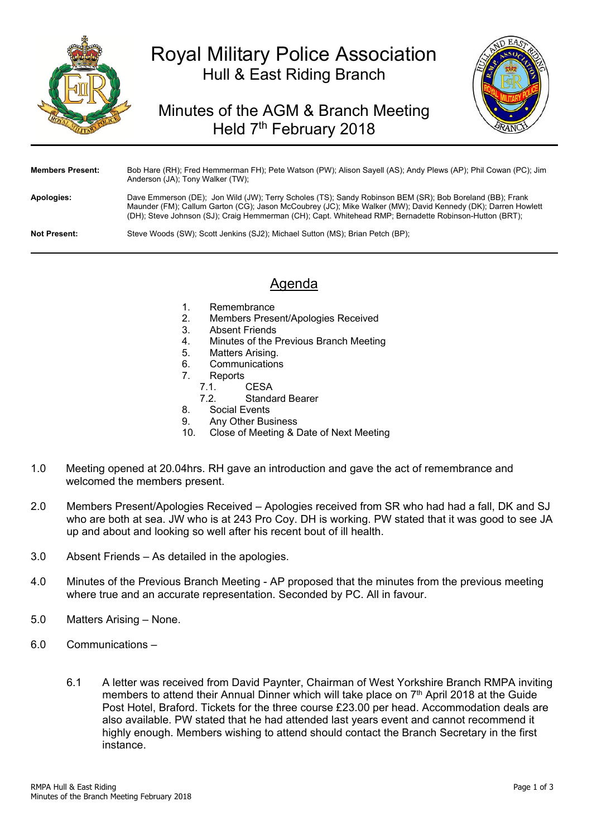

# Royal Military Police Association Hull & East Riding Branch

## Minutes of the AGM & Branch Meeting Held 7<sup>th</sup> February 2018



| <b>Members Present:</b> | Bob Hare (RH); Fred Hemmerman FH); Pete Watson (PW); Alison Sayell (AS); Andy Plews (AP); Phil Cowan (PC); Jim<br>Anderson (JA); Tony Walker (TW);                                                                                                                                                                                 |
|-------------------------|------------------------------------------------------------------------------------------------------------------------------------------------------------------------------------------------------------------------------------------------------------------------------------------------------------------------------------|
| Apologies:              | Dave Emmerson (DE); Jon Wild (JW); Terry Scholes (TS); Sandy Robinson BEM (SR); Bob Boreland (BB); Frank<br>Maunder (FM); Callum Garton (CG); Jason McCoubrey (JC); Mike Walker (MW); David Kennedy (DK); Darren Howlett<br>(DH); Steve Johnson (SJ); Craig Hemmerman (CH); Capt. Whitehead RMP; Bernadette Robinson-Hutton (BRT); |
| <b>Not Present:</b>     | Steve Woods (SW); Scott Jenkins (SJ2); Michael Sutton (MS); Brian Petch (BP);                                                                                                                                                                                                                                                      |

### Agenda

- 1. Remembrance
- 2. Members Present/Apologies Received
- 3. Absent Friends
- 4. Minutes of the Previous Branch Meeting
- 5. Matters Arising.
- 6. Communications
- 7. Reports
	- 7.1. CESA
	- 7.2. Standard Bearer
- 8. Social Events
- 9. Any Other Business<br>10 Close of Meeting & D
- Close of Meeting & Date of Next Meeting
- 1.0 Meeting opened at 20.04hrs. RH gave an introduction and gave the act of remembrance and welcomed the members present.
- 2.0 Members Present/Apologies Received Apologies received from SR who had had a fall, DK and SJ who are both at sea. JW who is at 243 Pro Coy. DH is working. PW stated that it was good to see JA up and about and looking so well after his recent bout of ill health.
- 3.0 Absent Friends As detailed in the apologies.
- 4.0 Minutes of the Previous Branch Meeting AP proposed that the minutes from the previous meeting where true and an accurate representation. Seconded by PC. All in favour.
- 5.0 Matters Arising None.
- 6.0 Communications
	- 6.1 A letter was received from David Paynter, Chairman of West Yorkshire Branch RMPA inviting members to attend their Annual Dinner which will take place on 7<sup>th</sup> April 2018 at the Guide Post Hotel, Braford. Tickets for the three course £23.00 per head. Accommodation deals are also available. PW stated that he had attended last years event and cannot recommend it highly enough. Members wishing to attend should contact the Branch Secretary in the first instance.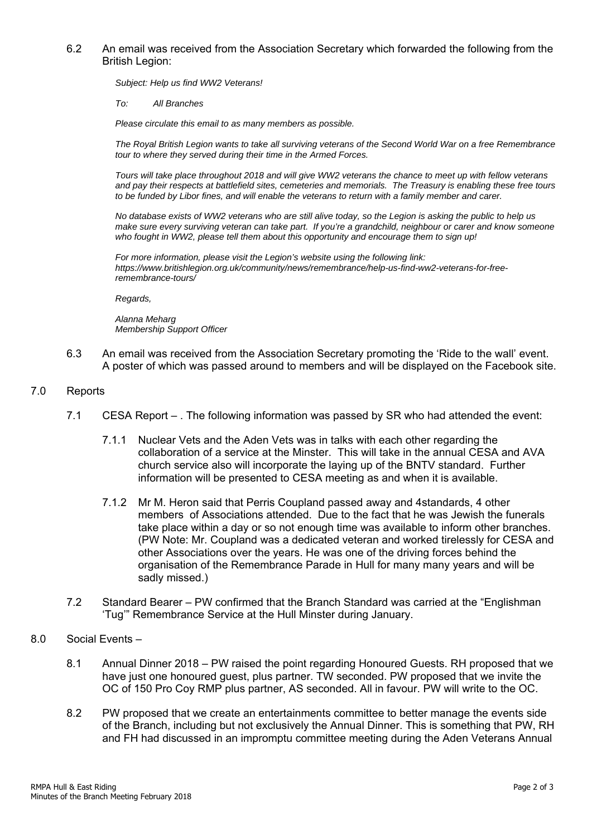#### 6.2 An email was received from the Association Secretary which forwarded the following from the British Legion:

*Subject: Help us find WW2 Veterans!* 

*To: All Branches* 

*Please circulate this email to as many members as possible.* 

*The Royal British Legion wants to take all surviving veterans of the Second World War on a free Remembrance tour to where they served during their time in the Armed Forces.* 

*Tours will take place throughout 2018 and will give WW2 veterans the chance to meet up with fellow veterans and pay their respects at battlefield sites, cemeteries and memorials. The Treasury is enabling these free tours to be funded by Libor fines, and will enable the veterans to return with a family member and carer.* 

*No database exists of WW2 veterans who are still alive today, so the Legion is asking the public to help us make sure every surviving veteran can take part. If you're a grandchild, neighbour or carer and know someone who fought in WW2, please tell them about this opportunity and encourage them to sign up!* 

*For more information, please visit the Legion's website using the following link: https://www.britishlegion.org.uk/community/news/remembrance/help-us-find-ww2-veterans-for-freeremembrance-tours/* 

*Regards,* 

*Alanna Meharg Membership Support Officer* 

- 6.3 An email was received from the Association Secretary promoting the 'Ride to the wall' event. A poster of which was passed around to members and will be displayed on the Facebook site.
- 7.0 Reports
	- 7.1 CESA Report . The following information was passed by SR who had attended the event:
		- 7.1.1 Nuclear Vets and the Aden Vets was in talks with each other regarding the collaboration of a service at the Minster. This will take in the annual CESA and AVA church service also will incorporate the laying up of the BNTV standard. Further information will be presented to CESA meeting as and when it is available.
		- 7.1.2 Mr M. Heron said that Perris Coupland passed away and 4standards, 4 other members of Associations attended. Due to the fact that he was Jewish the funerals take place within a day or so not enough time was available to inform other branches. (PW Note: Mr. Coupland was a dedicated veteran and worked tirelessly for CESA and other Associations over the years. He was one of the driving forces behind the organisation of the Remembrance Parade in Hull for many many years and will be sadly missed.)
	- 7.2 Standard Bearer PW confirmed that the Branch Standard was carried at the "Englishman 'Tug'" Remembrance Service at the Hull Minster during January.
- 8.0 Social Events
	- 8.1 Annual Dinner 2018 PW raised the point regarding Honoured Guests. RH proposed that we have just one honoured guest, plus partner. TW seconded. PW proposed that we invite the OC of 150 Pro Coy RMP plus partner, AS seconded. All in favour. PW will write to the OC.
	- 8.2 PW proposed that we create an entertainments committee to better manage the events side of the Branch, including but not exclusively the Annual Dinner. This is something that PW, RH and FH had discussed in an impromptu committee meeting during the Aden Veterans Annual